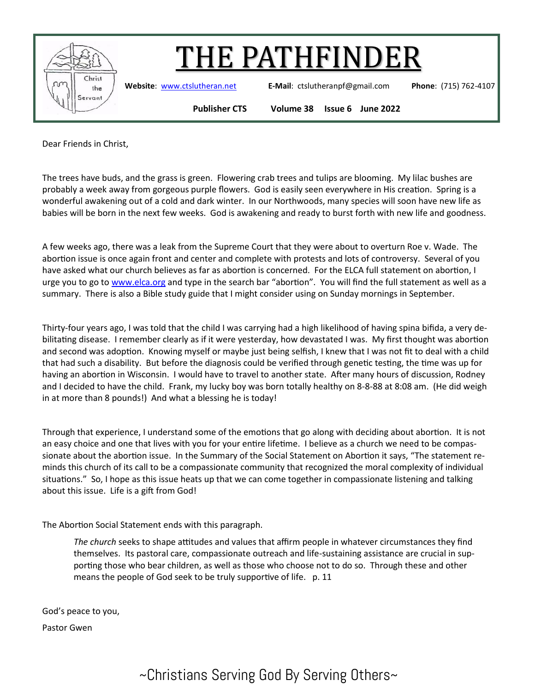

## 'HE PATHFINDER

**Website**: [www.ctslutheran.net](http://www.ctslutheran.net/) **E-Mail**: ctslutheranpf@gmail.com **Phone**: (715) 762-4107

**Publisher CTS Volume 38 Issue 6 June 2022**

Dear Friends in Christ,

The trees have buds, and the grass is green. Flowering crab trees and tulips are blooming. My lilac bushes are probably a week away from gorgeous purple flowers. God is easily seen everywhere in His creation. Spring is a wonderful awakening out of a cold and dark winter. In our Northwoods, many species will soon have new life as babies will be born in the next few weeks. God is awakening and ready to burst forth with new life and goodness.

A few weeks ago, there was a leak from the Supreme Court that they were about to overturn Roe v. Wade. The abortion issue is once again front and center and complete with protests and lots of controversy. Several of you have asked what our church believes as far as abortion is concerned. For the ELCA full statement on abortion, I urge you to go to [www.elca.org](http://www.elca.org) and type in the search bar "abortion". You will find the full statement as well as a summary. There is also a Bible study guide that I might consider using on Sunday mornings in September.

Thirty-four years ago, I was told that the child I was carrying had a high likelihood of having spina bifida, a very debilitating disease. I remember clearly as if it were yesterday, how devastated I was. My first thought was abortion and second was adoption. Knowing myself or maybe just being selfish, I knew that I was not fit to deal with a child that had such a disability. But before the diagnosis could be verified through genetic testing, the time was up for having an abortion in Wisconsin. I would have to travel to another state. After many hours of discussion, Rodney and I decided to have the child. Frank, my lucky boy was born totally healthy on 8-8-88 at 8:08 am. (He did weigh in at more than 8 pounds!) And what a blessing he is today!

Through that experience, I understand some of the emotions that go along with deciding about abortion. It is not an easy choice and one that lives with you for your entire lifetime. I believe as a church we need to be compassionate about the abortion issue. In the Summary of the Social Statement on Abortion it says, "The statement reminds this church of its call to be a compassionate community that recognized the moral complexity of individual situations." So, I hope as this issue heats up that we can come together in compassionate listening and talking about this issue. Life is a gift from God!

The Abortion Social Statement ends with this paragraph.

*The church* seeks to shape attitudes and values that affirm people in whatever circumstances they find themselves. Its pastoral care, compassionate outreach and life-sustaining assistance are crucial in supporting those who bear children, as well as those who choose not to do so. Through these and other means the people of God seek to be truly supportive of life. p. 11

God's peace to you,

Pastor Gwen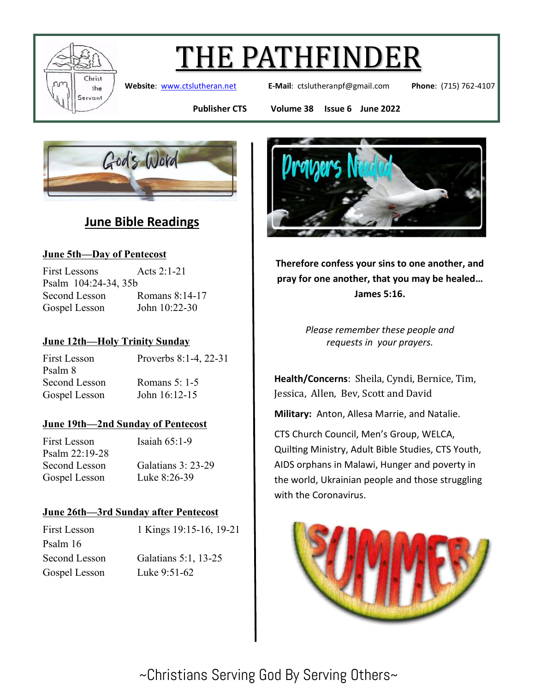

# THE PATHFINDER

**Website**: [www.ctslutheran.net](http://www.ctslutheran.net/) **E-Mail**: ctslutheranpf@gmail.com **Phone**: (715) 762-4107

**Publisher CTS Volume 38 Issue 6 June 2022**



### **June Bible Readings**

#### **June 5th—Day of Pentecost**

First Lessons Acts 2:1-21 Psalm 104:24-34, 35b Second Lesson Romans 8:14-17 Gospel Lesson John 10:22-30

#### **June 12th—Holy Trinity Sunday**

First Lesson Proverbs 8:1-4, 22-31 Psalm 8 Second Lesson Romans 5: 1-5 Gospel Lesson John 16:12-15

#### **June 19th—2nd Sunday of Pentecost**

First Lesson Isaiah 65:1-9 Psalm 22:19-28 Second Lesson Galatians 3: 23-29 Gospel Lesson Luke 8:26-39

#### **June 26th—3rd Sunday after Pentecost**

First Lesson 1 Kings 19:15-16, 19-21 Psalm 16 Second Lesson Galatians 5:1, 13-25 Gospel Lesson Luke 9:51-62



**Therefore confess your sins to one another, and pray for one another, that you may be healed… James 5:16.**

> *Please remember these people and requests in your prayers.*

**Health/Concerns**: Sheila, Cyndi, Bernice, Tim, Jessica, Allen, Bev, Scott and David

**Military:** Anton, Allesa Marrie, and Natalie.

CTS Church Council, Men's Group, WELCA, Quilting Ministry, Adult Bible Studies, CTS Youth, AIDS orphans in Malawi, Hunger and poverty in the world, Ukrainian people and those struggling with the Coronavirus.

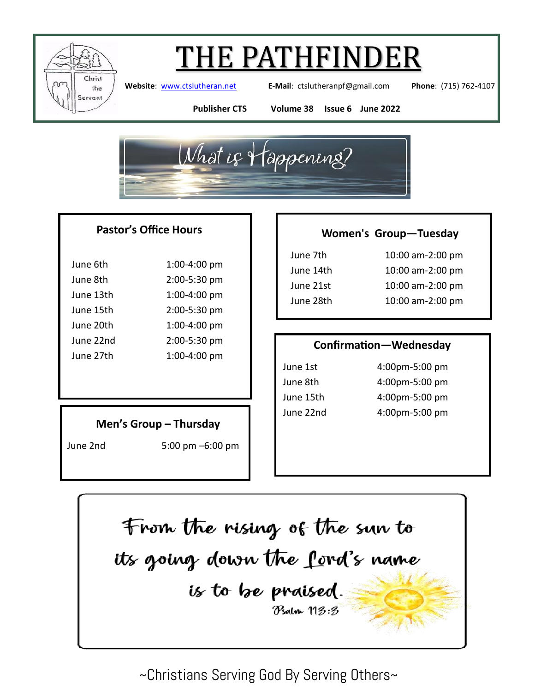

### 'HE PATHFINDER

**Website**: [www.ctslutheran.net](http://www.ctslutheran.net/) **E-Mail**: ctslutheranpf@gmail.com **Phone**: (715) 762-4107

**Publisher CTS Volume 38 Issue 6 June 2022**



#### **Pastor's Office Hours**

| June 6th  | 1:00-4:00 pm |  |
|-----------|--------------|--|
| June 8th  | 2:00-5:30 pm |  |
| June 13th | 1:00-4:00 pm |  |
| June 15th | 2:00-5:30 pm |  |
| June 20th | 1:00-4:00 pm |  |
| June 22nd | 2:00-5:30 pm |  |
| June 27th | 1:00-4:00 pm |  |

#### **Men's Group – Thursday**

June 2nd 5:00 pm –6:00 pm

#### **Women's Group—Tuesday**

| June 7th  |  |
|-----------|--|
| June 14th |  |
| June 21st |  |
| June 28th |  |

10:00 am-2:00 pm 10:00 am-2:00 pm 10:00 am-2:00 pm 10:00 am-2:00 pm

#### **Confirmation—Wednesday**

June 1st 4:00pm-5:00 pm June 8th 4:00pm-5:00 pm June 15th 4:00pm-5:00 pm June 22nd 4:00pm-5:00 pm

From the rising of the sun to its going down the ford's name is to be praised. Psalm 113:3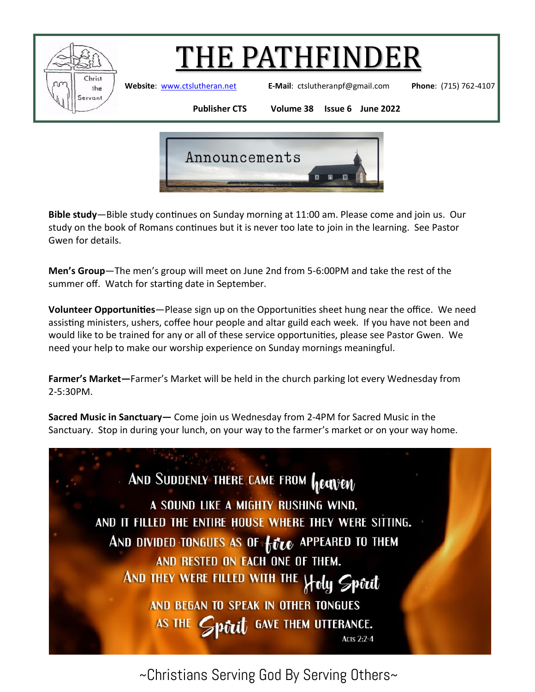

## THE PATHFINDER

**Website**: [www.ctslutheran.net](http://www.ctslutheran.net/) **E-Mail**: ctslutheranpf@gmail.com **Phone**: (715) 762-4107

**Publisher CTS Volume 38 Issue 6 June 2022**



**Bible study**—Bible study continues on Sunday morning at 11:00 am. Please come and join us. Our study on the book of Romans continues but it is never too late to join in the learning. See Pastor Gwen for details.

**Men's Group**—The men's group will meet on June 2nd from 5-6:00PM and take the rest of the summer off. Watch for starting date in September.

**Volunteer Opportunities**—Please sign up on the Opportunities sheet hung near the office. We need assisting ministers, ushers, coffee hour people and altar guild each week. If you have not been and would like to be trained for any or all of these service opportunities, please see Pastor Gwen. We need your help to make our worship experience on Sunday mornings meaningful.

**Farmer's Market—**Farmer's Market will be held in the church parking lot every Wednesday from 2-5:30PM.

**Sacred Music in Sanctuary—** Come join us Wednesday from 2-4PM for Sacred Music in the Sanctuary. Stop in during your lunch, on your way to the farmer's market or on your way home.

AND SUDDENLY THERE CAME FROM **heaven** A SOUND LIKE A MIGHTY RUSHING WIND, AND IT FILLED THE ENTIRE HOUSE WHERE THEY WERE SITTING. AND DIVIDED TONGUES AS OF **five** APPEARED TO THEM AND RESTED ON EACH ONE OF THEM. AND THEY WERE FILLED WITH THE Holy Sport AND BEGAN TO SPEAK IN OTHER TONGUES  $\mathcal P$  pitch  $\mathfrak g$  gave them utterance. AS THE 6 **ACTS 2:2-4**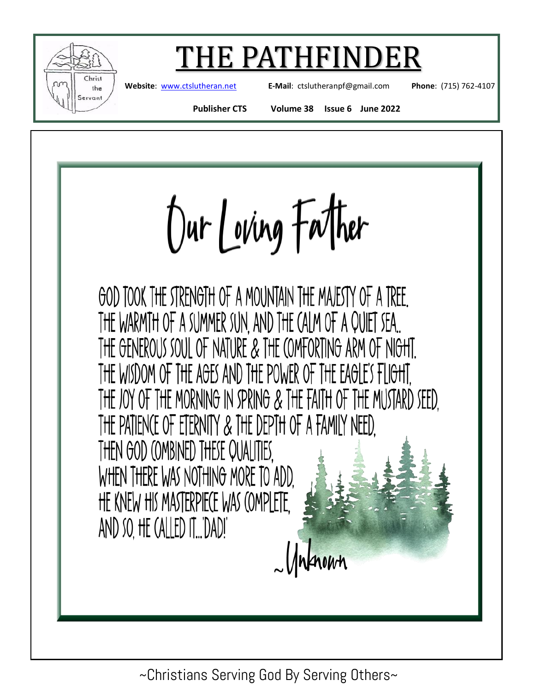

### E PATHFINDE

**Website**: [www.ctslutheran.net](http://www.ctslutheran.net/) **E-Mail**: ctslutheranpf@gmail.com **Phone**: (715) 762-4107

**Publisher CTS Volume 38 Issue 6 June 2022**

Dur Loving Father

GOD TOOK THE STRENGTH OF A MOUNTAIN THE MAJESTY OF A TREE. THE WARMTH OF A SUMMER SUN, AND THE CALM OF A QUIET SEA... THE GENEROUS SOUL OF NATURE & THE COMFORTING ARM OF NIGHT. THE WISDOM OF THE AGES AND THE POWER OF THE EAGLE'S FLIGHT. THE JOY OF THE MORNING IN SPRING & THE FAITH OF THE MUSTARD SEED. THE PATIENCE OF ETERNITY & THE DEPTH OF A FAMILY NEED. THEN GOD (OMBINED THESE QUALITIES. WHEN THERE WAS NOTHING MORE TO ADD. HE KNEW HIS MASTERPIECE WAS COMPLETE. AND SO, HE (ALLED IT...'DAD!'